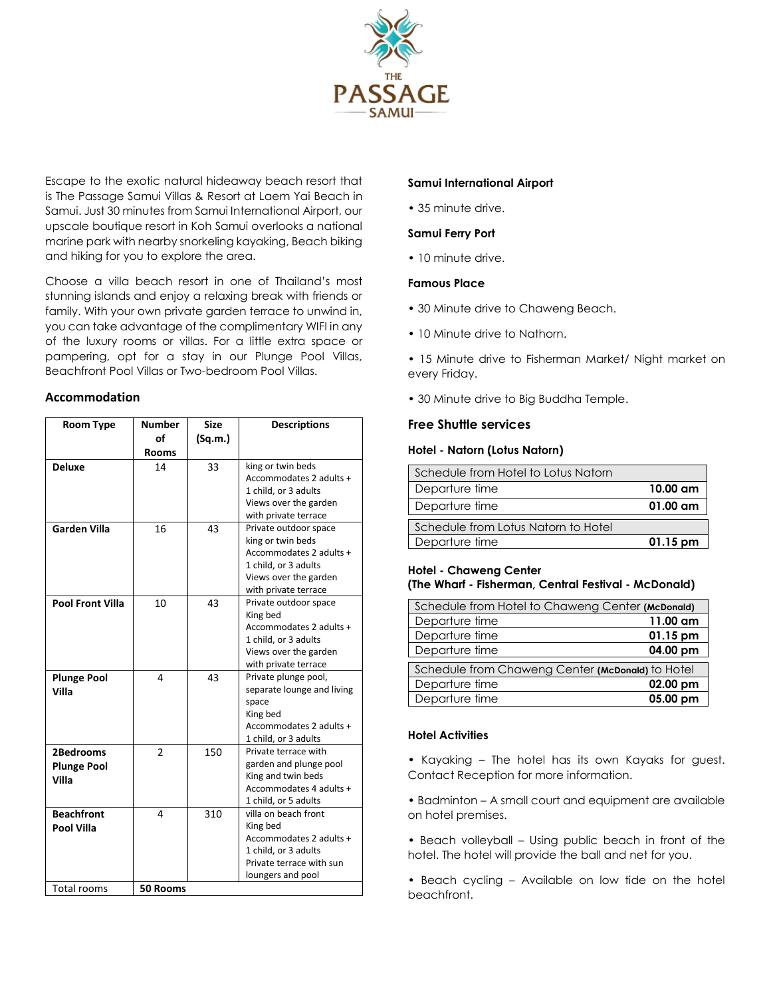

Escape to the exotic natural hideaway beach resort that is The Passage Samui Villas & Resort at Laem Yai Beach in Samui. Just 30 minutes from Samui International Airport, our upscale boutique resort in Koh Samui overlooks a national marine park with nearby snorkeling kayaking, Beach biking and hiking for you to explore the area.

Choose a villa beach resort in one of Thailand's most stunning islands and enjoy a relaxing break with friends or family. With your own private garden terrace to unwind in, you can take advantage of the complimentary WIFI in any of the luxury rooms or villas. For a little extra space or pampering, opt for a stay in our Plunge Pool Villas, Beachfront Pool Villas or Two-bedroom Pool Villas.

## **Accommodation**

| <b>Room Type</b>        | <b>Number</b>  | <b>Size</b> | <b>Descriptions</b>                          |
|-------------------------|----------------|-------------|----------------------------------------------|
|                         | of             | (Sq.m.)     |                                              |
|                         | <b>Rooms</b>   |             |                                              |
| <b>Deluxe</b>           | 14             | 33          | king or twin beds                            |
|                         |                |             | Accommodates 2 adults +                      |
|                         |                |             | 1 child, or 3 adults                         |
|                         |                |             | Views over the garden                        |
|                         |                |             | with private terrace                         |
| Garden Villa            | 16             | 43          | Private outdoor space                        |
|                         |                |             | king or twin beds                            |
|                         |                |             | Accommodates 2 adults +                      |
|                         |                |             | 1 child, or 3 adults                         |
|                         |                |             | Views over the garden                        |
|                         |                |             | with private terrace                         |
| <b>Pool Front Villa</b> | 10             | 43          | Private outdoor space                        |
|                         |                |             | King bed                                     |
|                         |                |             | Accommodates 2 adults +                      |
|                         |                |             | 1 child, or 3 adults                         |
|                         |                |             | Views over the garden                        |
|                         |                |             | with private terrace                         |
| <b>Plunge Pool</b>      | 4              | 43          | Private plunge pool,                         |
| Villa                   |                |             | separate lounge and living                   |
|                         |                |             | space                                        |
|                         |                |             | King bed                                     |
|                         |                |             | Accommodates 2 adults +                      |
|                         |                |             | 1 child, or 3 adults                         |
| 2Bedrooms               | $\overline{2}$ | 150         | Private terrace with                         |
| <b>Plunge Pool</b>      |                |             | garden and plunge pool<br>King and twin beds |
| Villa                   |                |             | Accommodates 4 adults +                      |
|                         |                |             | 1 child, or 5 adults                         |
| <b>Beachfront</b>       | 4              | 310         | villa on beach front                         |
|                         |                |             | King bed                                     |
| <b>Pool Villa</b>       |                |             | Accommodates 2 adults +                      |
|                         |                |             | 1 child, or 3 adults                         |
|                         |                |             | Private terrace with sun                     |
|                         |                |             | loungers and pool                            |
| Total rooms             | 50 Rooms       |             |                                              |

## **Samui International Airport**

• 35 minute drive.

# **Samui Ferry Port**

• 10 minute drive.

# **Famous Place**

- 30 Minute drive to Chaweng Beach.
- 10 Minute drive to Nathorn.
- 15 Minute drive to Fisherman Market/ Night market on every Friday.
- 30 Minute drive to Big Buddha Temple.

# **Free Shuttle services**

## **Hotel - Natorn (Lotus Natorn)**

| Schedule from Hotel to Lotus Natorn |                    |
|-------------------------------------|--------------------|
| Departure time                      | $10.00 \text{ am}$ |
| Departure time                      | $01.00 \text{ cm}$ |
| Schedule from Lotus Natorn to Hotel |                    |
|                                     |                    |
| Departure time                      | $01.15$ pm         |

# **Hotel - Chaweng Center (The Wharf - Fisherman, Central Festival - McDonald)**

| Schedule from Hotel to Chaweng Center (McDonald) |          |
|--------------------------------------------------|----------|
| Departure time                                   | 11.00 am |
| Departure time                                   | 01.15 pm |
| Departure time                                   | 04.00 pm |
| Schedule from Chaweng Center (McDonald) to Hotel |          |
| Departure time                                   | 02.00 pm |
| Departure time                                   | 05.00 pm |

## **Hotel Activities**

• Kayaking – The hotel has its own Kayaks for guest. Contact Reception for more information.

• Badminton – A small court and equipment are available on hotel premises.

• Beach volleyball – Using public beach in front of the hotel. The hotel will provide the ball and net for you.

• Beach cycling – Available on low tide on the hotel beachfront.